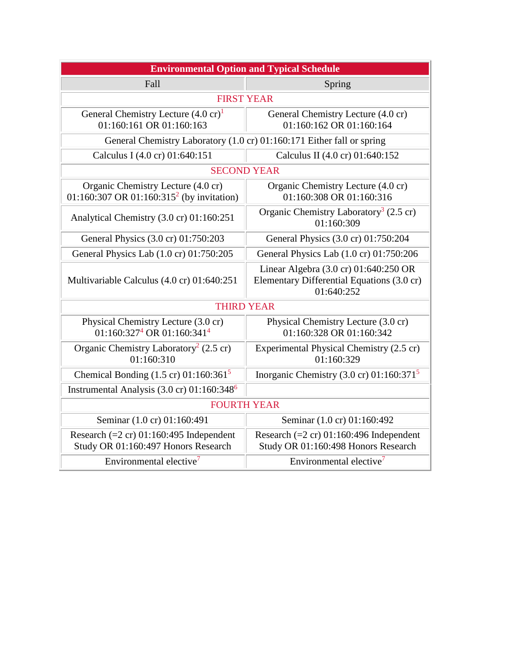| <b>Environmental Option and Typical Schedule</b>                                            |                                                                                                   |
|---------------------------------------------------------------------------------------------|---------------------------------------------------------------------------------------------------|
| Fall                                                                                        | Spring                                                                                            |
| <b>FIRST YEAR</b>                                                                           |                                                                                                   |
| General Chemistry Lecture $(4.0 \text{ cr})^1$<br>01:160:161 OR 01:160:163                  | General Chemistry Lecture (4.0 cr)<br>01:160:162 OR 01:160:164                                    |
| General Chemistry Laboratory (1.0 cr) 01:160:171 Either fall or spring                      |                                                                                                   |
| Calculus I (4.0 cr) 01:640:151                                                              | Calculus II (4.0 cr) 01:640:152                                                                   |
| <b>SECOND YEAR</b>                                                                          |                                                                                                   |
| Organic Chemistry Lecture (4.0 cr)<br>01:160:307 OR 01:160:315 <sup>2</sup> (by invitation) | Organic Chemistry Lecture (4.0 cr)<br>01:160:308 OR 01:160:316                                    |
| Analytical Chemistry (3.0 cr) 01:160:251                                                    | Organic Chemistry Laboratory <sup>3</sup> (2.5 cr)<br>01:160:309                                  |
| General Physics (3.0 cr) 01:750:203                                                         | General Physics (3.0 cr) 01:750:204                                                               |
| General Physics Lab (1.0 cr) 01:750:205                                                     | General Physics Lab (1.0 cr) 01:750:206                                                           |
| Multivariable Calculus (4.0 cr) 01:640:251                                                  | Linear Algebra (3.0 cr) 01:640:250 OR<br>Elementary Differential Equations (3.0 cr)<br>01:640:252 |
| <b>THIRD YEAR</b>                                                                           |                                                                                                   |
| Physical Chemistry Lecture (3.0 cr)<br>01:160:327 <sup>4</sup> OR 01:160:341 <sup>4</sup>   | Physical Chemistry Lecture (3.0 cr)<br>01:160:328 OR 01:160:342                                   |
| Organic Chemistry Laboratory <sup>2</sup> (2.5 cr)<br>01:160:310                            | Experimental Physical Chemistry (2.5 cr)<br>01:160:329                                            |
| Chemical Bonding $(1.5 \text{ cr})$ 01:160:361 <sup>5</sup>                                 | Inorganic Chemistry (3.0 cr) $01:160:371^5$                                                       |
| Instrumental Analysis $(3.0 \text{ cr})$ 01:160:348 <sup>6</sup>                            |                                                                                                   |
| <b>FOURTH YEAR</b>                                                                          |                                                                                                   |
| Seminar (1.0 cr) 01:160:491                                                                 | Seminar (1.0 cr) 01:160:492                                                                       |
| Research $(=2 \text{ cr}) 01:160:495$ Independent<br>Study OR 01:160:497 Honors Research    | Research $(=2 \text{ cr}) 01:160:496$ Independent<br>Study OR 01:160:498 Honors Research          |
| Environmental elective <sup>7</sup>                                                         | Environmental elective <sup>7</sup>                                                               |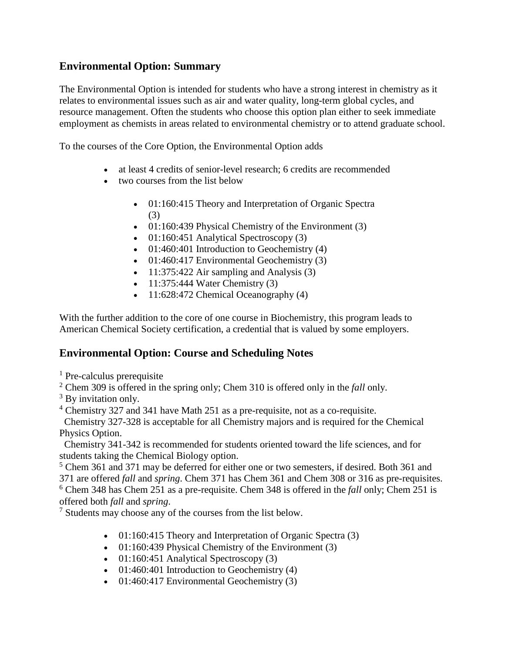## **Environmental Option: Summary**

The Environmental Option is intended for students who have a strong interest in chemistry as it relates to environmental issues such as air and water quality, long-term global cycles, and resource management. Often the students who choose this option plan either to seek immediate employment as chemists in areas related to environmental chemistry or to attend graduate school.

To the courses of the Core Option, the Environmental Option adds

- at least 4 credits of senior-level research; 6 credits are recommended
- two courses from the list below
	- 01:160:415 Theory and Interpretation of Organic Spectra (3)
	- 01:160:439 Physical Chemistry of the Environment (3)
	- 01:160:451 Analytical Spectroscopy  $(3)$
	- 01:460:401 Introduction to Geochemistry (4)
	- 01:460:417 Environmental Geochemistry (3)
	- 11:375:422 Air sampling and Analysis (3)
	- $11:375:444$  Water Chemistry  $(3)$
	- 11:628:472 Chemical Oceanography (4)

With the further addition to the core of one course in Biochemistry, this program leads to American Chemical Society certification, a credential that is valued by some employers.

## **Environmental Option: Course and Scheduling Notes**

- <sup>1</sup> Pre-calculus prerequisite
- <sup>2</sup> Chem 309 is offered in the spring only; Chem 310 is offered only in the *fall* only.
- <sup>3</sup> By invitation only.
- <sup>4</sup> Chemistry 327 and 341 have Math 251 as a pre-requisite, not as a co-requisite.

Chemistry 327-328 is acceptable for all Chemistry majors and is required for the Chemical Physics Option.

Chemistry 341-342 is recommended for students oriented toward the life sciences, and for students taking the Chemical Biology option.

 $5$  Chem 361 and 371 may be deferred for either one or two semesters, if desired. Both 361 and 371 are offered *fall* and *spring*. Chem 371 has Chem 361 and Chem 308 or 316 as pre-requisites. <sup>6</sup> Chem 348 has Chem 251 as a pre-requisite. Chem 348 is offered in the *fall* only; Chem 251 is

offered both *fall* and *spring*.

<sup>7</sup> Students may choose any of the courses from the list below.

- 01:160:415 Theory and Interpretation of Organic Spectra (3)
- 01:160:439 Physical Chemistry of the Environment (3)
- $01:160:451$  Analytical Spectroscopy  $(3)$
- 01:460:401 Introduction to Geochemistry (4)
- 01:460:417 Environmental Geochemistry (3)